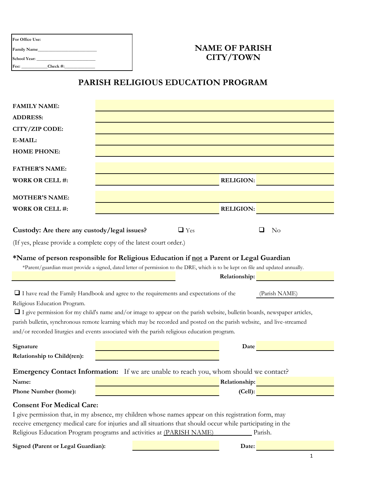| <b>For Office Use:</b> |             |  |
|------------------------|-------------|--|
| <b>Family Name</b>     |             |  |
| <b>School Year:</b>    |             |  |
| Fee:                   | Check $#$ : |  |

## **NAME OF PARISH CITY/TOWN**

## **PARISH RELIGIOUS EDUCATION PROGRAM**

| <b>FAMILY NAME:</b>                                                                                                                           |  |            |                  |         |  |
|-----------------------------------------------------------------------------------------------------------------------------------------------|--|------------|------------------|---------|--|
| <b>ADDRESS:</b>                                                                                                                               |  |            |                  |         |  |
| CITY/ZIP CODE:                                                                                                                                |  |            |                  |         |  |
| E-MAIL:                                                                                                                                       |  |            |                  |         |  |
| <b>HOME PHONE:</b>                                                                                                                            |  |            |                  |         |  |
| <b>FATHER'S NAME:</b>                                                                                                                         |  |            |                  |         |  |
| <b>WORK OR CELL #:</b>                                                                                                                        |  |            | <b>RELIGION:</b> |         |  |
|                                                                                                                                               |  |            |                  |         |  |
| <b>MOTHER'S NAME:</b>                                                                                                                         |  |            |                  |         |  |
| <b>WORK OR CELL #:</b>                                                                                                                        |  |            | <b>RELIGION:</b> |         |  |
|                                                                                                                                               |  |            |                  |         |  |
| Custody: Are there any custody/legal issues?                                                                                                  |  | $\Box$ Yes |                  | No      |  |
| (If yes, please provide a complete copy of the latest court order.)                                                                           |  |            |                  |         |  |
| *Name of person responsible for Religious Education if not a Parent or Legal Guardian                                                         |  |            |                  |         |  |
| *Parent/guardian must provide a signed, dated letter of permission to the DRE, which is to be kept on file and updated annually.              |  |            |                  |         |  |
|                                                                                                                                               |  |            | Relationship:    |         |  |
|                                                                                                                                               |  |            |                  |         |  |
| $\Box$ I have read the Family Handbook and agree to the requirements and expectations of the<br>(Parish NAME)<br>Religious Education Program. |  |            |                  |         |  |
| $\Box$ I give permission for my child's name and/or image to appear on the parish website, bulletin boards, newspaper articles,               |  |            |                  |         |  |
| parish bulletin, synchronous remote learning which may be recorded and posted on the parish website, and live-streamed                        |  |            |                  |         |  |
| and/or recorded liturgies and events associated with the parish religious education program.                                                  |  |            |                  |         |  |
| Signature                                                                                                                                     |  |            | Date             |         |  |
| Relationship to Child(ren):                                                                                                                   |  |            |                  |         |  |
| Emergency Contact Information: If we are unable to reach you, whom should we contact?                                                         |  |            |                  |         |  |
| Name:                                                                                                                                         |  |            | Relationship:    |         |  |
| Phone Number (home):                                                                                                                          |  |            |                  | (Cell): |  |
| <b>Consent For Medical Care:</b>                                                                                                              |  |            |                  |         |  |
| I give permission that, in my absence, my children whose names appear on this registration form, may                                          |  |            |                  |         |  |
| receive emergency medical care for injuries and all situations that should occur while participating in the                                   |  |            |                  |         |  |
| Religious Education Program programs and activities at (PARISH NAME)<br>Parish.                                                               |  |            |                  |         |  |
| Signed (Parent or Legal Guardian):                                                                                                            |  |            | Date:            |         |  |